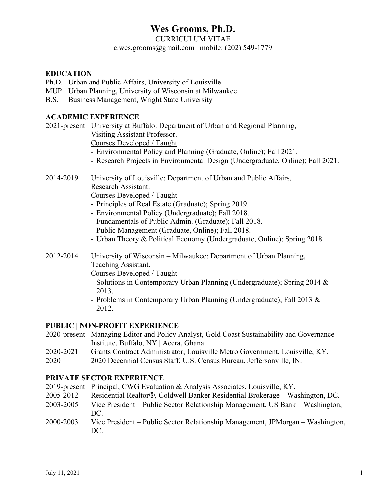# **Wes Grooms, Ph.D.**

CURRICULUM VITAE

c.wes.grooms@gmail.com | mobile:  $(202)$  549-1779

#### **EDUCATION**

- Ph.D. Urban and Public Affairs, University of Louisville
- MUP Urban Planning, University of Wisconsin at Milwaukee
- B.S. Business Management, Wright State University

#### **ACADEMIC EXPERIENCE**

2021-present University at Buffalo: Department of Urban and Regional Planning,

Visiting Assistant Professor.

Courses Developed / Taught

- Environmental Policy and Planning (Graduate, Online); Fall 2021.
- Research Projects in Environmental Design (Undergraduate, Online); Fall 2021.
- 2014-2019 University of Louisville: Department of Urban and Public Affairs, Research Assistant.

Courses Developed / Taught

- Principles of Real Estate (Graduate); Spring 2019.
- Environmental Policy (Undergraduate); Fall 2018.
- Fundamentals of Public Admin. (Graduate); Fall 2018.
- Public Management (Graduate, Online); Fall 2018.
- Urban Theory & Political Economy (Undergraduate, Online); Spring 2018.
- 2012-2014 University of Wisconsin Milwaukee: Department of Urban Planning, Teaching Assistant.

Courses Developed / Taught

- Solutions in Contemporary Urban Planning (Undergraduate); Spring 2014 & 2013.
- Problems in Contemporary Urban Planning (Undergraduate); Fall 2013 & 2012.

#### **PUBLIC | NON-PROFIT EXPERIENCE**

- 2020-present Managing Editor and Policy Analyst, Gold Coast Sustainability and Governance Institute, Buffalo, NY | Accra, Ghana
- 2020-2021 Grants Contract Administrator, Louisville Metro Government, Louisville, KY.
- 2020 2020 Decennial Census Staff, U.S. Census Bureau, Jeffersonville, IN.

#### **PRIVATE SECTOR EXPERIENCE**

- 2019-present Principal, CWG Evaluation & Analysis Associates, Louisville, KY.
- 2005-2012 Residential Realtor®, Coldwell Banker Residential Brokerage Washington, DC.
- 2003-2005 Vice President Public Sector Relationship Management, US Bank Washington, DC.
- 2000-2003 Vice President Public Sector Relationship Management, JPMorgan Washington, DC.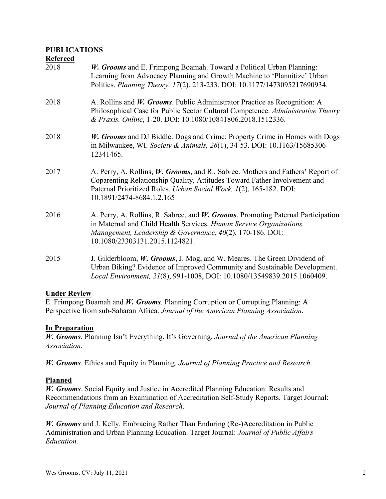# **PUBLICATIONS**

#### **Refereed**

| 2018 | W. Grooms and E. Frimpong Boamah. Toward a Political Urban Planning:<br>Learning from Advocacy Planning and Growth Machine to 'Plannitize' Urban<br>Politics. Planning Theory, 17(2), 213-233. DOI: 10.1177/1473095217690934.                                           |
|------|-------------------------------------------------------------------------------------------------------------------------------------------------------------------------------------------------------------------------------------------------------------------------|
| 2018 | A. Rollins and W. Grooms. Public Administrator Practice as Recognition: A<br>Philosophical Case for Public Sector Cultural Competence. Administrative Theory<br>& Praxis. Online, 1-20. DOI: 10.1080/10841806.2018.1512336.                                             |
| 2018 | W. Grooms and DJ Biddle. Dogs and Crime: Property Crime in Homes with Dogs<br>in Milwaukee, WI. Society & Animals, 26(1), 34-53. DOI: 10.1163/15685306-<br>12341465.                                                                                                    |
| 2017 | A. Perry, A. Rollins, <i>W. Grooms</i> , and R., Sabree. Mothers and Fathers' Report of<br>Coparenting Relationship Quality, Attitudes Toward Father Involvement and<br>Paternal Prioritized Roles. Urban Social Work, 1(2), 165-182. DOI:<br>10.1891/2474-8684.1.2.165 |
| 2016 | A. Perry, A. Rollins, R. Sabree, and W. Grooms. Promoting Paternal Participation<br>in Maternal and Child Health Services. Human Service Organizations,<br>Management, Leadership & Governance, 40(2), 170-186. DOI:<br>10.1080/23303131.2015.1124821.                  |
| 2015 | J. Gilderbloom, W. Grooms, J. Mog, and W. Meares. The Green Dividend of<br>Urban Biking? Evidence of Improved Community and Sustainable Development.<br>Local Environment, 21(8), 991-1008, DOI: 10.1080/13549839.2015.1060409.                                         |

#### **Under Review**

E. Frimpong Boamah and *W. Grooms*. Planning Corruption or Corrupting Planning: A Perspective from sub-Saharan Africa. *Journal of the American Planning Association*.

#### **In Preparation**

*W. Grooms*. Planning Isn't Everything, It's Governing. *Journal of the American Planning Association.*

*W. Grooms*. Ethics and Equity in Planning. *Journal of Planning Practice and Research.*

#### **Planned**

*W. Grooms*. Social Equity and Justice in Accredited Planning Education: Results and Recommendations from an Examination of Accreditation Self-Study Reports. Target Journal: *Journal of Planning Education and Research*.

*W. Grooms* and J. Kelly*.* Embracing Rather Than Enduring (Re-)Accreditation in Public Administration and Urban Planning Education. Target Journal: *Journal of Public Affairs Education.*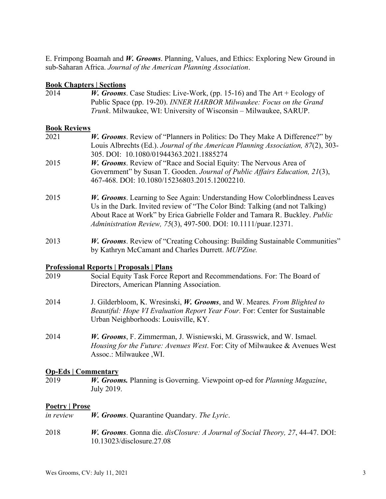E. Frimpong Boamah and *W. Grooms*. Planning, Values, and Ethics: Exploring New Ground in sub-Saharan Africa. *Journal of the American Planning Association*.

### **Book Chapters | Sections**

2014 *W. Grooms*. Case Studies: Live-Work, (pp. 15-16) and The Art + Ecology of Public Space (pp. 19-20). *INNER HARBOR Milwaukee: Focus on the Grand Trunk*. Milwaukee, WI: University of Wisconsin – Milwaukee, SARUP.

### **Book Reviews**

- 2021 *W. Grooms*. Review of "Planners in Politics: Do They Make A Difference?" by Louis Albrechts (Ed.). *Journal of the American Planning Association, 87*(2), 303- 305. DOI: 10.1080/01944363.2021.1885274 2015 *W. Grooms*. Review of "Race and Social Equity: The Nervous Area of
- Government" by Susan T. Gooden. *Journal of Public Affairs Education, 21*(3), 467-468. DOI: 10.1080/15236803.2015.12002210.
- 2015 *W. Grooms*. Learning to See Again: Understanding How Colorblindness Leaves Us in the Dark. Invited review of "The Color Bind: Talking (and not Talking) About Race at Work" by Erica Gabrielle Folder and Tamara R. Buckley. *Public Administration Review, 75*(3), 497-500. DOI: 10.1111/puar.12371.
- 2013 *W. Grooms*. Review of "Creating Cohousing: Building Sustainable Communities" by Kathryn McCamant and Charles Durrett. *MUPZine.*

#### **Professional Reports | Proposals | Plans**

- 2019 Social Equity Task Force Report and Recommendations. For: The Board of Directors, American Planning Association.
- 2014 J. Gilderbloom, K. Wresinski, *W. Grooms*, and W. Meares*. From Blighted to Beautiful: Hope VI Evaluation Report Year Four.* For: Center for Sustainable Urban Neighborhoods: Louisville, KY.
- 2014 *W. Grooms*, F. Zimmerman, J. Wisniewski, M. Grasswick, and W. Ismael*. Housing for the Future: Avenues West*. For: City of Milwaukee & Avenues West Assoc.: Milwaukee ,WI.

# **Op-Eds | Commentary**

2019 *W. Grooms.* Planning is Governing. Viewpoint op-ed for *Planning Magazine*, July 2019.

# **Poetry | Prose**

- *in review W. Grooms*. Quarantine Quandary. *The Lyric*.
- 2018 *W. Grooms*. Gonna die. *disClosure: A Journal of Social Theory, 27*, 44-47. DOI: 10.13023/disclosure.27.08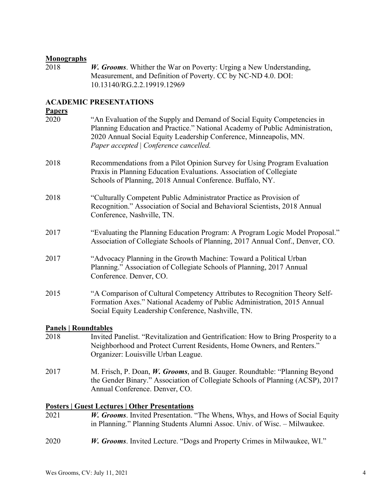**Monographs** W. Grooms. Whither the War on Poverty: Urging a New Understanding, Measurement, and Definition of Poverty. CC by NC-ND 4.0. DOI: 10.13140/RG.2.2.19919.12969

# **ACADEMIC PRESENTATIONS**

### **Papers**

| 2020                        | "An Evaluation of the Supply and Demand of Social Equity Competencies in<br>Planning Education and Practice." National Academy of Public Administration,<br>2020 Annual Social Equity Leadership Conference, Minneapolis, MN.<br>Paper accepted   Conference cancelled. |
|-----------------------------|-------------------------------------------------------------------------------------------------------------------------------------------------------------------------------------------------------------------------------------------------------------------------|
| 2018                        | Recommendations from a Pilot Opinion Survey for Using Program Evaluation<br>Praxis in Planning Education Evaluations. Association of Collegiate<br>Schools of Planning, 2018 Annual Conference. Buffalo, NY.                                                            |
| 2018                        | "Culturally Competent Public Administrator Practice as Provision of<br>Recognition." Association of Social and Behavioral Scientists, 2018 Annual<br>Conference, Nashville, TN.                                                                                         |
| 2017                        | "Evaluating the Planning Education Program: A Program Logic Model Proposal."<br>Association of Collegiate Schools of Planning, 2017 Annual Conf., Denver, CO.                                                                                                           |
| 2017                        | "Advocacy Planning in the Growth Machine: Toward a Political Urban<br>Planning." Association of Collegiate Schools of Planning, 2017 Annual<br>Conference. Denver, CO.                                                                                                  |
| 2015                        | "A Comparison of Cultural Competency Attributes to Recognition Theory Self-<br>Formation Axes." National Academy of Public Administration, 2015 Annual<br>Social Equity Leadership Conference, Nashville, TN.                                                           |
| <b>Panels   Roundtables</b> |                                                                                                                                                                                                                                                                         |
| 2018                        | Invited Panelist. "Revitalization and Gentrification: How to Bring Prosperity to a<br>Neighborhood and Protect Current Residents, Home Owners, and Renters."<br>Organizer: Louisville Urban League.                                                                     |
| 2017                        | M. Frisch, P. Doan, W. Grooms, and B. Gauger. Roundtable: "Planning Beyond<br>the Gender Binary." Association of Collegiate Schools of Planning (ACSP), 2017<br>Annual Conference. Denver, CO.                                                                          |
|                             | <b>Posters   Guest Lectures   Other Presentations</b>                                                                                                                                                                                                                   |
| 2021                        | W. Grooms. Invited Presentation. "The Whens, Whys, and Hows of Social Equity<br>in Planning." Planning Students Alumni Assoc. Univ. of Wisc. - Milwaukee.                                                                                                               |
| 2020                        | W. Grooms. Invited Lecture. "Dogs and Property Crimes in Milwaukee, WI."                                                                                                                                                                                                |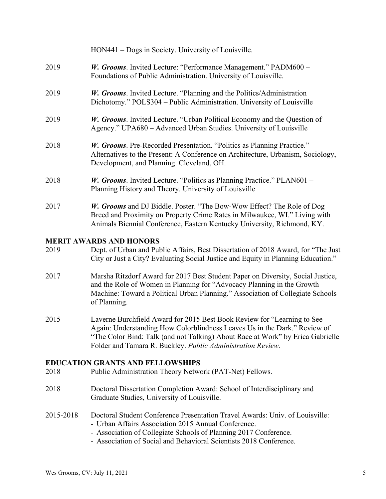|                                                                                                            | HON441 – Dogs in Society. University of Louisville.                                                                                                                                                                                                                                                   |  |
|------------------------------------------------------------------------------------------------------------|-------------------------------------------------------------------------------------------------------------------------------------------------------------------------------------------------------------------------------------------------------------------------------------------------------|--|
| 2019                                                                                                       | W. Grooms. Invited Lecture: "Performance Management." PADM600 -<br>Foundations of Public Administration. University of Louisville.                                                                                                                                                                    |  |
| 2019                                                                                                       | W. Grooms. Invited Lecture. "Planning and the Politics/Administration<br>Dichotomy." POLS304 – Public Administration. University of Louisville                                                                                                                                                        |  |
| 2019                                                                                                       | W. Grooms. Invited Lecture. "Urban Political Economy and the Question of<br>Agency." UPA680 - Advanced Urban Studies. University of Louisville                                                                                                                                                        |  |
| 2018                                                                                                       | W. Grooms. Pre-Recorded Presentation. "Politics as Planning Practice."<br>Alternatives to the Present: A Conference on Architecture, Urbanism, Sociology,<br>Development, and Planning. Cleveland, OH.                                                                                                |  |
| 2018                                                                                                       | <i>W. Grooms.</i> Invited Lecture. "Politics as Planning Practice." PLAN601 –<br>Planning History and Theory. University of Louisville                                                                                                                                                                |  |
| 2017                                                                                                       | W. Grooms and DJ Biddle. Poster. "The Bow-Wow Effect? The Role of Dog<br>Breed and Proximity on Property Crime Rates in Milwaukee, WI." Living with<br>Animals Biennial Conference, Eastern Kentucky University, Richmond, KY.                                                                        |  |
| 2019                                                                                                       | <b>MERIT AWARDS AND HONORS</b><br>Dept. of Urban and Public Affairs, Best Dissertation of 2018 Award, for "The Just<br>City or Just a City? Evaluating Social Justice and Equity in Planning Education."                                                                                              |  |
| 2017                                                                                                       | Marsha Ritzdorf Award for 2017 Best Student Paper on Diversity, Social Justice,<br>and the Role of Women in Planning for "Advocacy Planning in the Growth<br>Machine: Toward a Political Urban Planning." Association of Collegiate Schools<br>of Planning.                                           |  |
| 2015                                                                                                       | Laverne Burchfield Award for 2015 Best Book Review for "Learning to See<br>Again: Understanding How Colorblindness Leaves Us in the Dark." Review of<br>"The Color Bind: Talk (and not Talking) About Race at Work" by Erica Gabrielle<br>Folder and Tamara R. Buckley. Public Administration Review. |  |
| <b>EDUCATION GRANTS AND FELLOWSHIPS</b><br>Public Administration Theory Network (PAT-Net) Fellows.<br>2018 |                                                                                                                                                                                                                                                                                                       |  |
| 2018                                                                                                       | Doctoral Dissertation Completion Award: School of Interdisciplinary and<br>Graduate Studies, University of Louisville.                                                                                                                                                                                |  |
| 2015-2018                                                                                                  | Doctoral Student Conference Presentation Travel Awards: Univ. of Louisville:<br>- Urban Affairs Association 2015 Annual Conference.<br>- Association of Collegiate Schools of Planning 2017 Conference.<br>- Association of Social and Behavioral Scientists 2018 Conference.                         |  |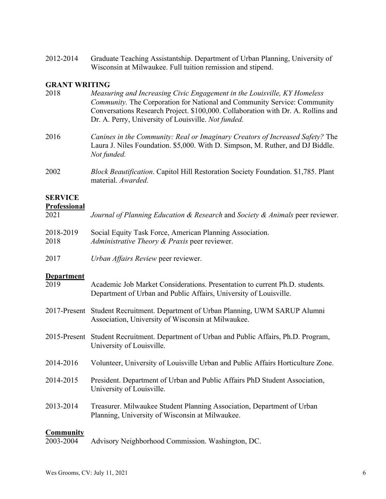2012-2014 Graduate Teaching Assistantship. Department of Urban Planning, University of Wisconsin at Milwaukee. Full tuition remission and stipend.

## **GRANT WRITING**

| 2018                                  | Measuring and Increasing Civic Engagement in the Louisville, KY Homeless<br>Community. The Corporation for National and Community Service: Community<br>Conversations Research Project. \$100,000. Collaboration with Dr. A. Rollins and<br>Dr. A. Perry, University of Louisville. Not funded. |
|---------------------------------------|-------------------------------------------------------------------------------------------------------------------------------------------------------------------------------------------------------------------------------------------------------------------------------------------------|
| 2016                                  | Canines in the Community: Real or Imaginary Creators of Increased Safety? The<br>Laura J. Niles Foundation. \$5,000. With D. Simpson, M. Ruther, and DJ Biddle.<br>Not funded.                                                                                                                  |
| 2002                                  | <i>Block Beautification.</i> Capitol Hill Restoration Society Foundation. \$1,785. Plant<br>material. Awarded.                                                                                                                                                                                  |
| <b>SERVICE</b><br><b>Professional</b> |                                                                                                                                                                                                                                                                                                 |

| <b>TTALAMATALAM</b><br>2021 | Journal of Planning Education & Research and Society & Animals peer reviewer. |
|-----------------------------|-------------------------------------------------------------------------------|
| 2018-2019                   | Social Equity Task Force, American Planning Association.                      |

2018 *Administrative Theory & Praxis* peer reviewer.

2017 *Urban Affairs Review* peer reviewer.

#### **Department**

| 2019                          | Academic Job Market Considerations. Presentation to current Ph.D. students.<br>Department of Urban and Public Affairs, University of Louisville. |
|-------------------------------|--------------------------------------------------------------------------------------------------------------------------------------------------|
|                               | 2017-Present Student Recruitment. Department of Urban Planning, UWM SARUP Alumni<br>Association, University of Wisconsin at Milwaukee.           |
|                               | 2015-Present Student Recruitment. Department of Urban and Public Affairs, Ph.D. Program,<br>University of Louisville.                            |
| 2014-2016                     | Volunteer, University of Louisville Urban and Public Affairs Horticulture Zone.                                                                  |
| 2014-2015                     | President. Department of Urban and Public Affairs PhD Student Association,<br>University of Louisville.                                          |
| 2013-2014                     | Treasurer. Milwaukee Student Planning Association, Department of Urban<br>Planning, University of Wisconsin at Milwaukee.                        |
| <b>Community</b><br>2003-2004 | Advisory Neighborhood Commission. Washington, DC.                                                                                                |